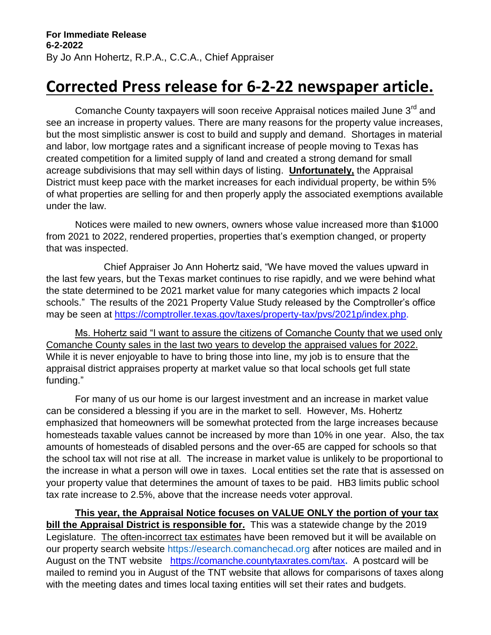## **Corrected Press release for 6-2-22 newspaper article.**

Comanche County taxpayers will soon receive Appraisal notices mailed June 3<sup>rd</sup> and see an increase in property values. There are many reasons for the property value increases, but the most simplistic answer is cost to build and supply and demand. Shortages in material and labor, low mortgage rates and a significant increase of people moving to Texas has created competition for a limited supply of land and created a strong demand for small acreage subdivisions that may sell within days of listing. **Unfortunately,** the Appraisal District must keep pace with the market increases for each individual property, be within 5% of what properties are selling for and then properly apply the associated exemptions available under the law.

Notices were mailed to new owners, owners whose value increased more than \$1000 from 2021 to 2022, rendered properties, properties that's exemption changed, or property that was inspected.

Chief Appraiser Jo Ann Hohertz said, "We have moved the values upward in the last few years, but the Texas market continues to rise rapidly, and we were behind what the state determined to be 2021 market value for many categories which impacts 2 local schools." The results of the 2021 Property Value Study released by the Comptroller's office may be seen at https://comptroller.texas.gov/taxes/property-tax/pvs/2021p/index.php.

Ms. Hohertz said "I want to assure the citizens of Comanche County that we used only Comanche County sales in the last two years to develop the appraised values for 2022. While it is never enjoyable to have to bring those into line, my job is to ensure that the appraisal district appraises property at market value so that local schools get full state funding."

For many of us our home is our largest investment and an increase in market value can be considered a blessing if you are in the market to sell. However, Ms. Hohertz emphasized that homeowners will be somewhat protected from the large increases because homesteads taxable values cannot be increased by more than 10% in one year. Also, the tax amounts of homesteads of disabled persons and the over-65 are capped for schools so that the school tax will not rise at all. The increase in market value is unlikely to be proportional to the increase in what a person will owe in taxes. Local entities set the rate that is assessed on your property value that determines the amount of taxes to be paid. HB3 limits public school tax rate increase to 2.5%, above that the increase needs voter approval.

**This year, the Appraisal Notice focuses on VALUE ONLY the portion of your tax bill the Appraisal District is responsible for.** This was a statewide change by the 2019 Legislature. The often-incorrect tax estimates have been removed but it will be available on our property search website [https://esearch.comanchecad.org](https://esearch.comanchecad.org/) after notices are mailed and in August on the TNT website<https://comanche.countytaxrates.com/tax>**.** A postcard will be mailed to remind you in August of the TNT website that allows for comparisons of taxes along with the meeting dates and times local taxing entities will set their rates and budgets.